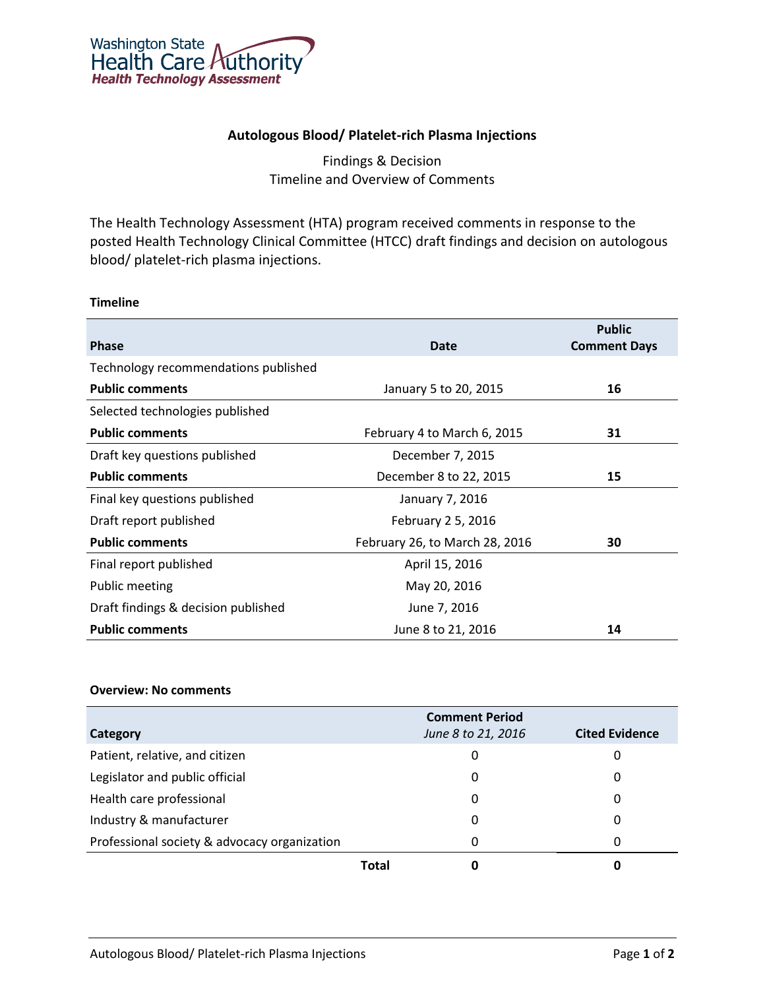

## **Autologous Blood/ Platelet-rich Plasma Injections**

# Findings & Decision Timeline and Overview of Comments

The Health Technology Assessment (HTA) program received comments in response to the posted Health Technology Clinical Committee (HTCC) draft findings and decision on autologous blood/ platelet-rich plasma injections.

## **Timeline**

| Phase                                | <b>Date</b>                    | <b>Public</b><br><b>Comment Days</b> |
|--------------------------------------|--------------------------------|--------------------------------------|
| Technology recommendations published |                                |                                      |
| <b>Public comments</b>               | January 5 to 20, 2015          | 16                                   |
| Selected technologies published      |                                |                                      |
| <b>Public comments</b>               | February 4 to March 6, 2015    | 31                                   |
| Draft key questions published        | December 7, 2015               |                                      |
| <b>Public comments</b>               | December 8 to 22, 2015         | 15                                   |
| Final key questions published        | January 7, 2016                |                                      |
| Draft report published               | February 2 5, 2016             |                                      |
| <b>Public comments</b>               | February 26, to March 28, 2016 | 30                                   |
| Final report published               | April 15, 2016                 |                                      |
| Public meeting                       | May 20, 2016                   |                                      |
| Draft findings & decision published  | June 7, 2016                   |                                      |
| <b>Public comments</b>               | June 8 to 21, 2016             | 14                                   |

## **Overview: No comments**

| Category                                     |       | <b>Comment Period</b><br>June 8 to 21, 2016 | <b>Cited Evidence</b> |
|----------------------------------------------|-------|---------------------------------------------|-----------------------|
| Patient, relative, and citizen               |       | 0                                           | 0                     |
| Legislator and public official               |       | 0                                           | 0                     |
| Health care professional                     |       | 0                                           | 0                     |
| Industry & manufacturer                      |       | 0                                           | 0                     |
| Professional society & advocacy organization |       | 0                                           | 0                     |
|                                              | Total |                                             | O                     |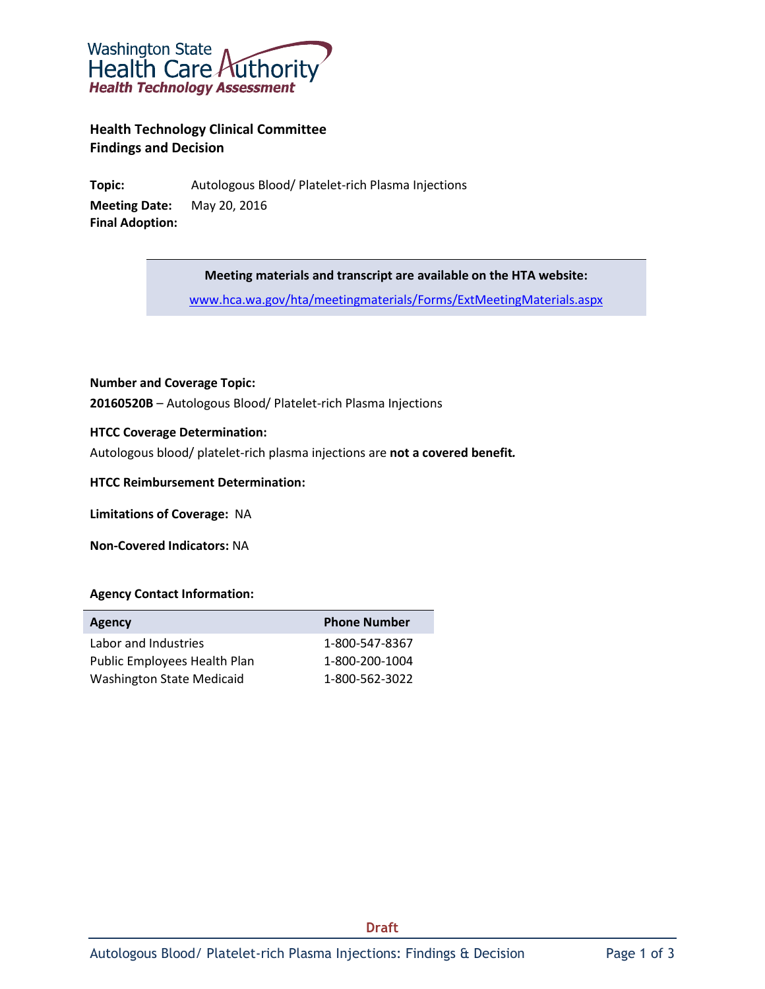

**Health Technology Clinical Committee Findings and Decision**

**Topic:** Autologous Blood/ Platelet-rich Plasma Injections **Meeting Date:** May 20, 2016 **Final Adoption:**

**Meeting materials and transcript are available on the HTA website:**

[www.hca.wa.gov/hta/meetingmaterials/Forms/ExtMeetingMaterials.aspx](http://www.hca.wa.gov/hta/meetingmaterials/Forms/ExtMeetingMaterials.aspx)

#### **Number and Coverage Topic:**

**20160520B** – Autologous Blood/ Platelet-rich Plasma Injections

#### **HTCC Coverage Determination:**

Autologous blood/ platelet-rich plasma injections are **not a covered benefit***.*

**HTCC Reimbursement Determination:**

**Limitations of Coverage:** NA

**Non-Covered Indicators:** NA

#### **Agency Contact Information:**

| <b>Agency</b>                    | <b>Phone Number</b> |
|----------------------------------|---------------------|
| Labor and Industries             | 1-800-547-8367      |
| Public Employees Health Plan     | 1-800-200-1004      |
| <b>Washington State Medicaid</b> | 1-800-562-3022      |

**Draft**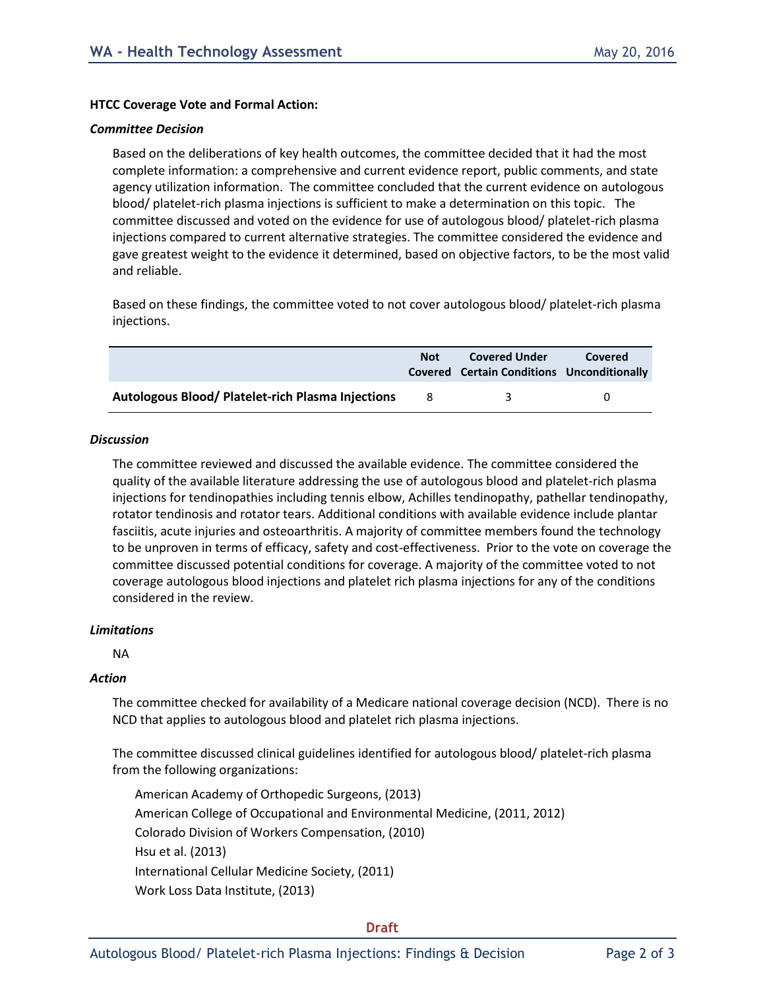#### **HTCC Coverage Vote and Formal Action:**

#### *Committee Decision*

Based on the deliberations of key health outcomes, the committee decided that it had the most complete information: a comprehensive and current evidence report, public comments, and state agency utilization information. The committee concluded that the current evidence on autologous blood/ platelet-rich plasma injections is sufficient to make a determination on this topic. The committee discussed and voted on the evidence for use of autologous blood/ platelet-rich plasma injections compared to current alternative strategies. The committee considered the evidence and gave greatest weight to the evidence it determined, based on objective factors, to be the most valid and reliable.

Based on these findings, the committee voted to not cover autologous blood/ platelet-rich plasma injections.

|                                                          | <b>Not</b> | <b>Covered Under</b><br>Covered Certain Conditions Unconditionally | Covered      |
|----------------------------------------------------------|------------|--------------------------------------------------------------------|--------------|
| <b>Autologous Blood/ Platelet-rich Plasma Injections</b> | -8         | 2                                                                  | $\mathbf{U}$ |

#### *Discussion*

The committee reviewed and discussed the available evidence. The committee considered the quality of the available literature addressing the use of autologous blood and platelet-rich plasma injections for tendinopathies including tennis elbow, Achilles tendinopathy, pathellar tendinopathy, rotator tendinosis and rotator tears. Additional conditions with available evidence include plantar fasciitis, acute injuries and osteoarthritis. A majority of committee members found the technology to be unproven in terms of efficacy, safety and cost-effectiveness. Prior to the vote on coverage the committee discussed potential conditions for coverage. A majority of the committee voted to not coverage autologous blood injections and platelet rich plasma injections for any of the conditions considered in the review.

#### *Limitations*

NA

#### *Action*

The committee checked for availability of a Medicare national coverage decision (NCD). There is no NCD that applies to autologous blood and platelet rich plasma injections.

The committee discussed clinical guidelines identified for autologous blood/ platelet-rich plasma from the following organizations:

American Academy of Orthopedic Surgeons, (2013) American College of Occupational and Environmental Medicine, (2011, 2012) Colorado Division of Workers Compensation, (2010) Hsu et al. (2013) International Cellular Medicine Society, (2011) Work Loss Data Institute, (2013)

#### **Draft**